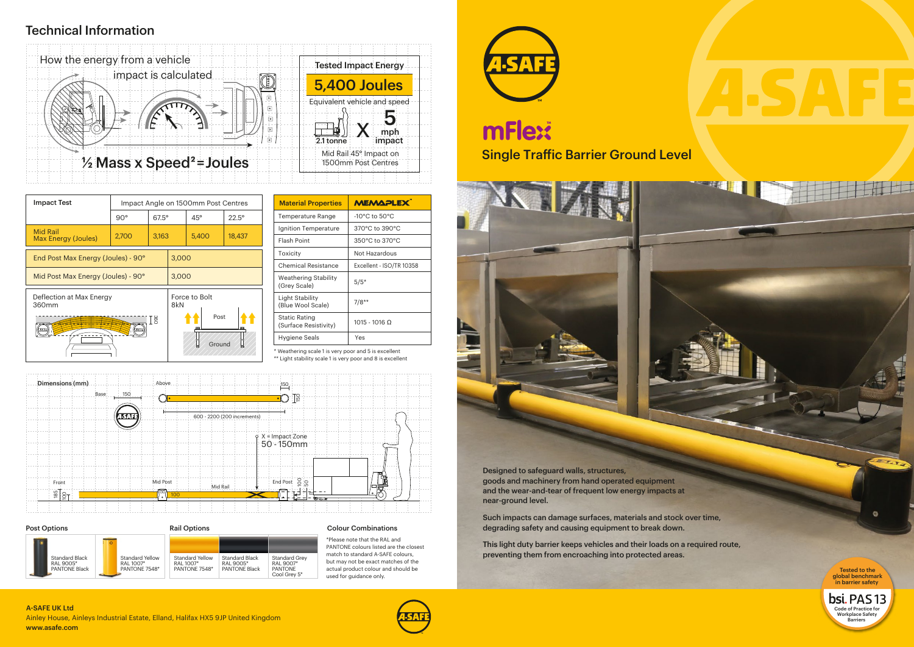

Designed to safeguard walls, structures, goods and machinery from hand operated equipment and the wear-and-tear of frequent low energy impacts at near-ground level.

Such impacts can damage surfaces, materials and stock over time, degrading safety and causing equipment to break down.

This light duty barrier keeps vehicles and their loads on a required route, preventing them from encroaching into protected areas.

## Technical Information

\* Weathering scale 1 is very poor and 5 is excellent

\*\* Light stability scale 1 is very poor and 8 is excellent

#### PANTONE 7548\* PANTONE 7548\* PANTONE Black PANTONE PANTONE actual product colour and should be **Fested to the research of the colour and should be Fested to the** Post Options **Rail Options** Rail Options Standard Yellow RAL 1007\* PANTONE 7548\* Standard Black RAL 9005\* PANTONE Black Standard Black RAL 9005\* PANTONE Black Standard Grey RAL 9007\* PANTONE Cool Grey 5\* Standard Yellow RAL 1007\*

| <b>MEMAPLEX</b>          |  |  |
|--------------------------|--|--|
| -10°C to $50^{\circ}$ C  |  |  |
| 370°C to 390°C           |  |  |
| 350°C to 370°C           |  |  |
| Not Hazardous            |  |  |
| Excellent - ISO/TR 10358 |  |  |
| $5/5*$                   |  |  |
| $7/8**$                  |  |  |
| $1015 - 1016$ Q          |  |  |
| Yes                      |  |  |
|                          |  |  |

Ainley House, Ainleys Industrial Estate, Elland, Halifax HX5 9JP United Kingdom Barriers **A-SAFE** Barriers and the same of the same of the same of the same of the same of the same of the same of the same of the same of the www.asafe.com A-SAFE UK Ltd



| <b>Impact Test</b>                     | Impact Angle on 1500mm Post Centres |              |                      |                |                |
|----------------------------------------|-------------------------------------|--------------|----------------------|----------------|----------------|
|                                        | $90^\circ$                          | $67.5^\circ$ |                      | $45^\circ$     | $22.5^{\circ}$ |
| <b>Mid Rail</b><br>Max Energy (Joules) | 2,700                               | 3,163        |                      | 5,400          | 18,437         |
| End Post Max Energy (Joules) - 90°     |                                     |              | 3,000                |                |                |
| Mid Post Max Energy (Joules) - 90°     |                                     |              | 3,000                |                |                |
| Deflection at Max Energy<br>360mm      |                                     |              | Force to Bolt<br>8kN |                |                |
| I se<br><b>ST</b>                      |                                     |              |                      | Post<br>Ground |                |



Colour Combinations

\*Please note that the RAL and PANTONE colours listed are the closest match to standard A-SAFE colours, but may not be exact matches of the used for guidance only.



# mFlex **Single Traffic Barrier Ground Level**



global benchmark in barrier safety

**Ch**